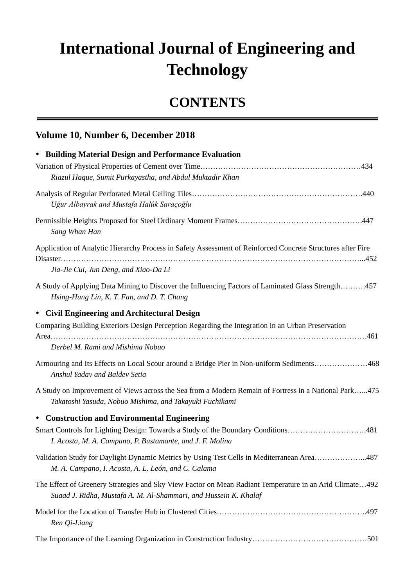## **International Journal of Engineering and Technology**

## **CONTENTS**

## **Volume 10, Number 6, December 2018**

| • Building Material Design and Performance Evaluation                                                                                                                       |
|-----------------------------------------------------------------------------------------------------------------------------------------------------------------------------|
|                                                                                                                                                                             |
| Riazul Haque, Sumit Purkayastha, and Abdul Muktadir Khan                                                                                                                    |
|                                                                                                                                                                             |
| Uğur Albayrak and Mustafa Halûk Saraçoğlu                                                                                                                                   |
| Sang Whan Han                                                                                                                                                               |
| Application of Analytic Hierarchy Process in Safety Assessment of Reinforced Concrete Structures after Fire                                                                 |
| Jia-Jie Cui, Jun Deng, and Xiao-Da Li                                                                                                                                       |
| A Study of Applying Data Mining to Discover the Influencing Factors of Laminated Glass Strength457<br>Hsing-Hung Lin, K. T. Fan, and D. T. Chang                            |
| • Civil Engineering and Architectural Design                                                                                                                                |
| Comparing Building Exteriors Design Perception Regarding the Integration in an Urban Preservation                                                                           |
| Derbel M. Rami and Mishima Nobuo                                                                                                                                            |
| Armouring and Its Effects on Local Scour around a Bridge Pier in Non-uniform Sediments468<br>Anshul Yadav and Baldev Setia                                                  |
| A Study on Improvement of Views across the Sea from a Modern Remain of Fortress in a National Park475<br>Takatoshi Yasuda, Nobuo Mishima, and Takayuki Fuchikami            |
| • Construction and Environmental Engineering                                                                                                                                |
| Smart Controls for Lighting Design: Towards a Study of the Boundary Conditions481<br>I. Acosta, M. A. Campano, P. Bustamante, and J. F. Molina                              |
| Validation Study for Daylight Dynamic Metrics by Using Test Cells in Mediterranean Area487<br>M. A. Campano, I. Acosta, A. L. Le ón, and C. Calama                          |
| The Effect of Greenery Strategies and Sky View Factor on Mean Radiant Temperature in an Arid Climate492<br>Suaad J. Ridha, Mustafa A. M. Al-Shammari, and Hussein K. Khalaf |
| Ren Qi-Liang                                                                                                                                                                |
|                                                                                                                                                                             |